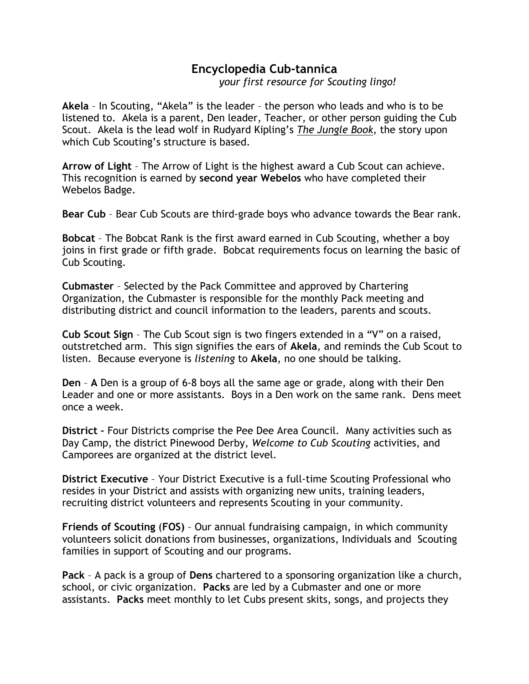## Encyclopedia Cub-tannica

your first resource for Scouting lingo!

Akela – In Scouting, "Akela" is the leader – the person who leads and who is to be listened to. Akela is a parent, Den leader, Teacher, or other person guiding the Cub Scout. Akela is the lead wolf in Rudyard Kipling's The Jungle Book, the story upon which Cub Scouting's structure is based.

Arrow of Light – The Arrow of Light is the highest award a Cub Scout can achieve. This recognition is earned by second year Webelos who have completed their Webelos Badge.

Bear Cub – Bear Cub Scouts are third-grade boys who advance towards the Bear rank.

Bobcat – The Bobcat Rank is the first award earned in Cub Scouting, whether a boy joins in first grade or fifth grade. Bobcat requirements focus on learning the basic of Cub Scouting.

Cubmaster – Selected by the Pack Committee and approved by Chartering Organization, the Cubmaster is responsible for the monthly Pack meeting and distributing district and council information to the leaders, parents and scouts.

Cub Scout Sign – The Cub Scout sign is two fingers extended in a "V" on a raised, outstretched arm. This sign signifies the ears of Akela, and reminds the Cub Scout to listen. Because everyone is listening to Akela, no one should be talking.

Den – A Den is a group of 6-8 boys all the same age or grade, along with their Den Leader and one or more assistants. Boys in a Den work on the same rank. Dens meet once a week.

District – Four Districts comprise the Pee Dee Area Council. Many activities such as Day Camp, the district Pinewood Derby, Welcome to Cub Scouting activities, and Camporees are organized at the district level.

District Executive – Your District Executive is a full-time Scouting Professional who resides in your District and assists with organizing new units, training leaders, recruiting district volunteers and represents Scouting in your community.

Friends of Scouting (FOS) – Our annual fundraising campaign, in which community volunteers solicit donations from businesses, organizations, Individuals and Scouting families in support of Scouting and our programs.

Pack – A pack is a group of Dens chartered to a sponsoring organization like a church, school, or civic organization. Packs are led by a Cubmaster and one or more assistants. Packs meet monthly to let Cubs present skits, songs, and projects they